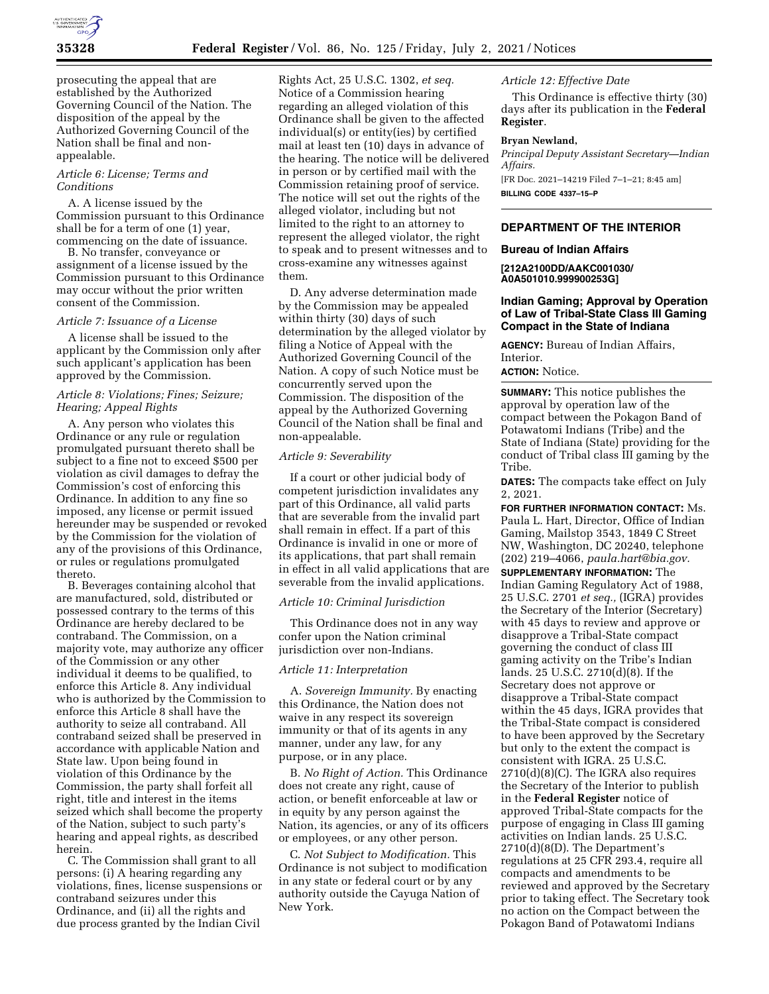

prosecuting the appeal that are established by the Authorized Governing Council of the Nation. The disposition of the appeal by the Authorized Governing Council of the Nation shall be final and nonappealable.

## *Article 6: License; Terms and Conditions*

A. A license issued by the Commission pursuant to this Ordinance shall be for a term of one (1) year, commencing on the date of issuance.

B. No transfer, conveyance or assignment of a license issued by the Commission pursuant to this Ordinance may occur without the prior written consent of the Commission.

### *Article 7: Issuance of a License*

A license shall be issued to the applicant by the Commission only after such applicant's application has been approved by the Commission.

# *Article 8: Violations; Fines; Seizure; Hearing; Appeal Rights*

A. Any person who violates this Ordinance or any rule or regulation promulgated pursuant thereto shall be subject to a fine not to exceed \$500 per violation as civil damages to defray the Commission's cost of enforcing this Ordinance. In addition to any fine so imposed, any license or permit issued hereunder may be suspended or revoked by the Commission for the violation of any of the provisions of this Ordinance, or rules or regulations promulgated thereto.

B. Beverages containing alcohol that are manufactured, sold, distributed or possessed contrary to the terms of this Ordinance are hereby declared to be contraband. The Commission, on a majority vote, may authorize any officer of the Commission or any other individual it deems to be qualified, to enforce this Article 8. Any individual who is authorized by the Commission to enforce this Article 8 shall have the authority to seize all contraband. All contraband seized shall be preserved in accordance with applicable Nation and State law. Upon being found in violation of this Ordinance by the Commission, the party shall forfeit all right, title and interest in the items seized which shall become the property of the Nation, subject to such party's hearing and appeal rights, as described herein.

C. The Commission shall grant to all persons: (i) A hearing regarding any violations, fines, license suspensions or contraband seizures under this Ordinance, and (ii) all the rights and due process granted by the Indian Civil

Rights Act, 25 U.S.C. 1302, *et seq.*  Notice of a Commission hearing regarding an alleged violation of this Ordinance shall be given to the affected individual(s) or entity(ies) by certified mail at least ten (10) days in advance of the hearing. The notice will be delivered in person or by certified mail with the Commission retaining proof of service. The notice will set out the rights of the alleged violator, including but not limited to the right to an attorney to represent the alleged violator, the right to speak and to present witnesses and to cross-examine any witnesses against them.

D. Any adverse determination made by the Commission may be appealed within thirty (30) days of such determination by the alleged violator by filing a Notice of Appeal with the Authorized Governing Council of the Nation. A copy of such Notice must be concurrently served upon the Commission. The disposition of the appeal by the Authorized Governing Council of the Nation shall be final and non-appealable.

#### *Article 9: Severability*

If a court or other judicial body of competent jurisdiction invalidates any part of this Ordinance, all valid parts that are severable from the invalid part shall remain in effect. If a part of this Ordinance is invalid in one or more of its applications, that part shall remain in effect in all valid applications that are severable from the invalid applications.

### *Article 10: Criminal Jurisdiction*

This Ordinance does not in any way confer upon the Nation criminal jurisdiction over non-Indians.

### *Article 11: Interpretation*

A. *Sovereign Immunity.* By enacting this Ordinance, the Nation does not waive in any respect its sovereign immunity or that of its agents in any manner, under any law, for any purpose, or in any place.

B. *No Right of Action.* This Ordinance does not create any right, cause of action, or benefit enforceable at law or in equity by any person against the Nation, its agencies, or any of its officers or employees, or any other person.

C. *Not Subject to Modification.* This Ordinance is not subject to modification in any state or federal court or by any authority outside the Cayuga Nation of New York.

# *Article 12: Effective Date*

This Ordinance is effective thirty (30) days after its publication in the **Federal Register**.

#### **Bryan Newland,**

*Principal Deputy Assistant Secretary—Indian Affairs.* 

[FR Doc. 2021–14219 Filed 7–1–21; 8:45 am] **BILLING CODE 4337–15–P** 

## **DEPARTMENT OF THE INTERIOR**

## **Bureau of Indian Affairs**

**[212A2100DD/AAKC001030/ A0A501010.999900253G]** 

# **Indian Gaming; Approval by Operation of Law of Tribal-State Class III Gaming Compact in the State of Indiana**

**AGENCY:** Bureau of Indian Affairs, Interior.

# **ACTION:** Notice.

**SUMMARY:** This notice publishes the approval by operation law of the compact between the Pokagon Band of Potawatomi Indians (Tribe) and the State of Indiana (State) providing for the conduct of Tribal class III gaming by the Tribe.

**DATES:** The compacts take effect on July 2, 2021.

**FOR FURTHER INFORMATION CONTACT:** Ms. Paula L. Hart, Director, Office of Indian Gaming, Mailstop 3543, 1849 C Street NW, Washington, DC 20240, telephone (202) 219–4066, *[paula.hart@bia.gov.](mailto:paula.hart@bia.gov)* 

**SUPPLEMENTARY INFORMATION:** The Indian Gaming Regulatory Act of 1988, 25 U.S.C. 2701 *et seq.,* (IGRA) provides the Secretary of the Interior (Secretary) with 45 days to review and approve or disapprove a Tribal-State compact governing the conduct of class III gaming activity on the Tribe's Indian lands. 25 U.S.C. 2710(d)(8). If the Secretary does not approve or disapprove a Tribal-State compact within the 45 days, IGRA provides that the Tribal-State compact is considered to have been approved by the Secretary but only to the extent the compact is consistent with IGRA. 25 U.S.C. 2710(d)(8)(C). The IGRA also requires the Secretary of the Interior to publish in the **Federal Register** notice of approved Tribal-State compacts for the purpose of engaging in Class III gaming activities on Indian lands. 25 U.S.C. 2710(d)(8(D). The Department's regulations at 25 CFR 293.4, require all compacts and amendments to be reviewed and approved by the Secretary prior to taking effect. The Secretary took no action on the Compact between the Pokagon Band of Potawatomi Indians